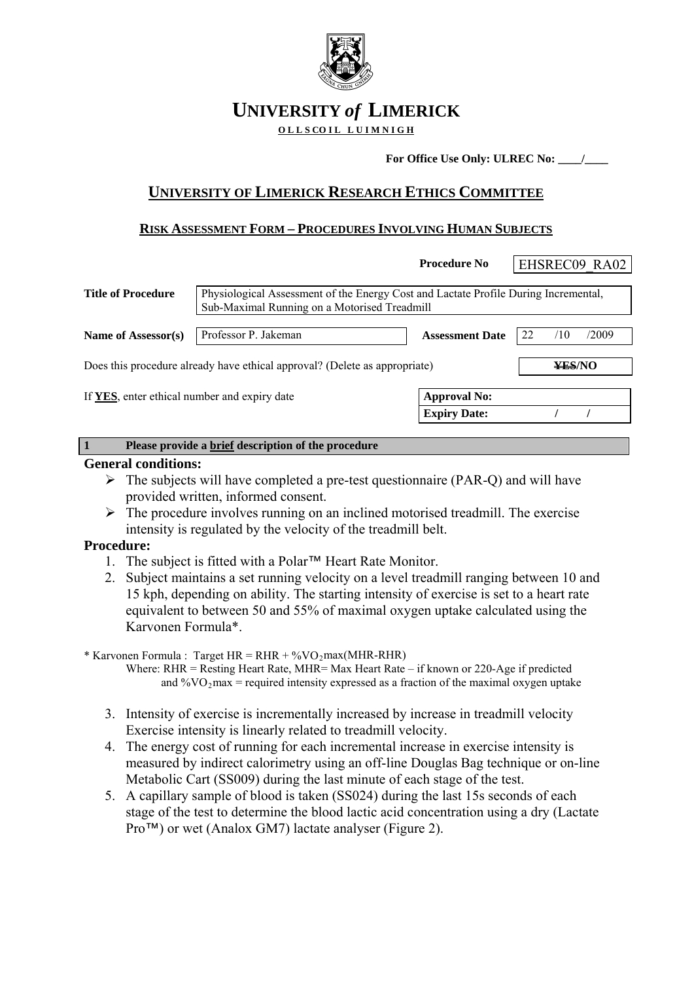

# **UNIVERSITY** *of* **LIMERICK**

O L L S CO I L L U I M N I G H

For Office Use Only: ULREC No: <u>\_\_\_\_\_/</u>

# **UNIVERSITY OF LIMERICK RESEARCH ETHICS COMMITTEE**

# **RISK ASSESSMENT FORM – PROCEDURES INVOLVING HUMAN SUBJECTS**

|                                                                            |                                                                                                                                     | <b>Procedure No</b>    | EHSREC09 RA02 |       |  |  |
|----------------------------------------------------------------------------|-------------------------------------------------------------------------------------------------------------------------------------|------------------------|---------------|-------|--|--|
| <b>Title of Procedure</b>                                                  | Physiological Assessment of the Energy Cost and Lactate Profile During Incremental,<br>Sub-Maximal Running on a Motorised Treadmill |                        |               |       |  |  |
| Name of Assessor(s)                                                        | Professor P. Jakeman                                                                                                                | <b>Assessment Date</b> | 22<br>/10     | /2009 |  |  |
| Does this procedure already have ethical approval? (Delete as appropriate) | ¥ES/NO                                                                                                                              |                        |               |       |  |  |
| If YES, enter ethical number and expiry date<br><b>Approval No:</b>        |                                                                                                                                     |                        |               |       |  |  |
|                                                                            |                                                                                                                                     | <b>Expiry Date:</b>    |               |       |  |  |
|                                                                            | Please provide a brief description of the procedure                                                                                 |                        |               |       |  |  |

## **General conditions:**

- $\triangleright$  The subjects will have completed a pre-test questionnaire (PAR-Q) and will have provided written, informed consent.
- $\triangleright$  The procedure involves running on an inclined motorised treadmill. The exercise intensity is regulated by the velocity of the treadmill belt.

## **Procedure:**

- 1. The subject is fitted with a Polar™ Heart Rate Monitor.
- 2. Subject maintains a set running velocity on a level treadmill ranging between 10 and 15 kph, depending on ability. The starting intensity of exercise is set to a heart rate equivalent to between 50 and 55% of maximal oxygen uptake calculated using the Karvonen Formula\*.

\* Karvonen Formula : Target  $HR = RHR + %VO<sub>2</sub>max(MHR-RHR)$ 

 Where: RHR = Resting Heart Rate, MHR= Max Heart Rate – if known or 220-Age if predicted and  $\%VO_2$  max = required intensity expressed as a fraction of the maximal oxygen uptake

- 3. Intensity of exercise is incrementally increased by increase in treadmill velocity Exercise intensity is linearly related to treadmill velocity.
- 4. The energy cost of running for each incremental increase in exercise intensity is measured by indirect calorimetry using an off-line Douglas Bag technique or on-line Metabolic Cart (SS009) during the last minute of each stage of the test.
- 5. A capillary sample of blood is taken (SS024) during the last 15s seconds of each stage of the test to determine the blood lactic acid concentration using a dry (Lactate Pro™) or wet (Analox GM7) lactate analyser (Figure 2).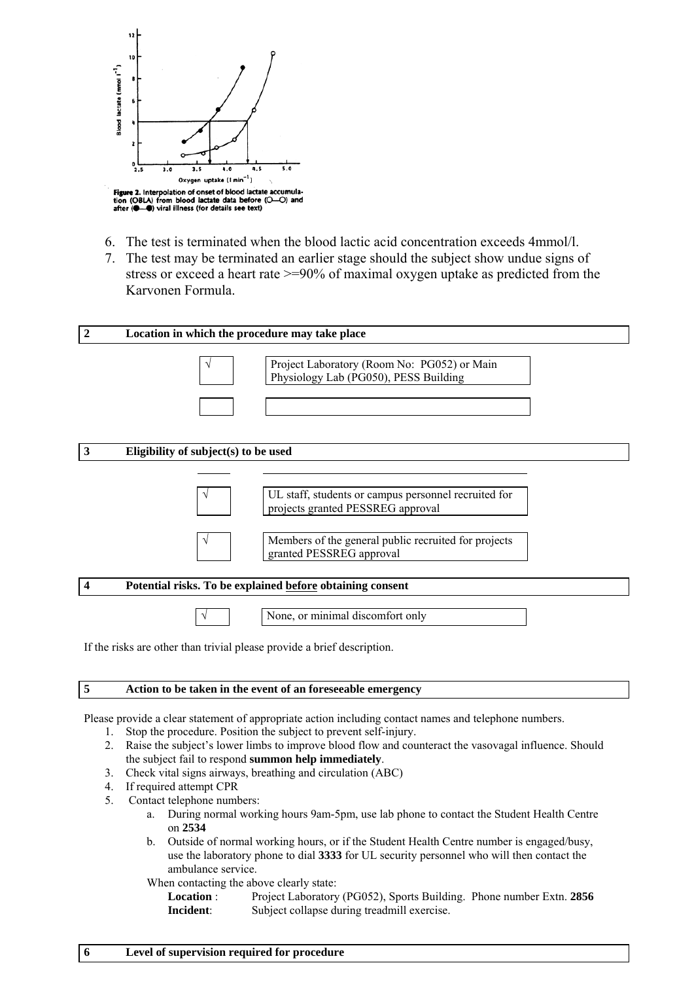

- 6. The test is terminated when the blood lactic acid concentration exceeds 4mmol/l.
- 7. The test may be terminated an earlier stage should the subject show undue signs of stress or exceed a heart rate >=90% of maximal oxygen uptake as predicted from the Karvonen Formula.



#### **5 Action to be taken in the event of an foreseeable emergency**

Please provide a clear statement of appropriate action including contact names and telephone numbers.

- 1. Stop the procedure. Position the subject to prevent self-injury.
- 2. Raise the subject's lower limbs to improve blood flow and counteract the vasovagal influence. Should the subject fail to respond **summon help immediately**.
- 3. Check vital signs airways, breathing and circulation (ABC)
- 4. If required attempt CPR
- 5. Contact telephone numbers:
	- a. During normal working hours 9am-5pm, use lab phone to contact the Student Health Centre on **2534**
	- b. Outside of normal working hours, or if the Student Health Centre number is engaged/busy, use the laboratory phone to dial **3333** for UL security personnel who will then contact the ambulance service.

When contacting the above clearly state:

**Location** : Project Laboratory (PG052), Sports Building. Phone number Extn. **2856 Incident**: Subject collapse during treadmill exercise.

## **6 Level of supervision required for procedure**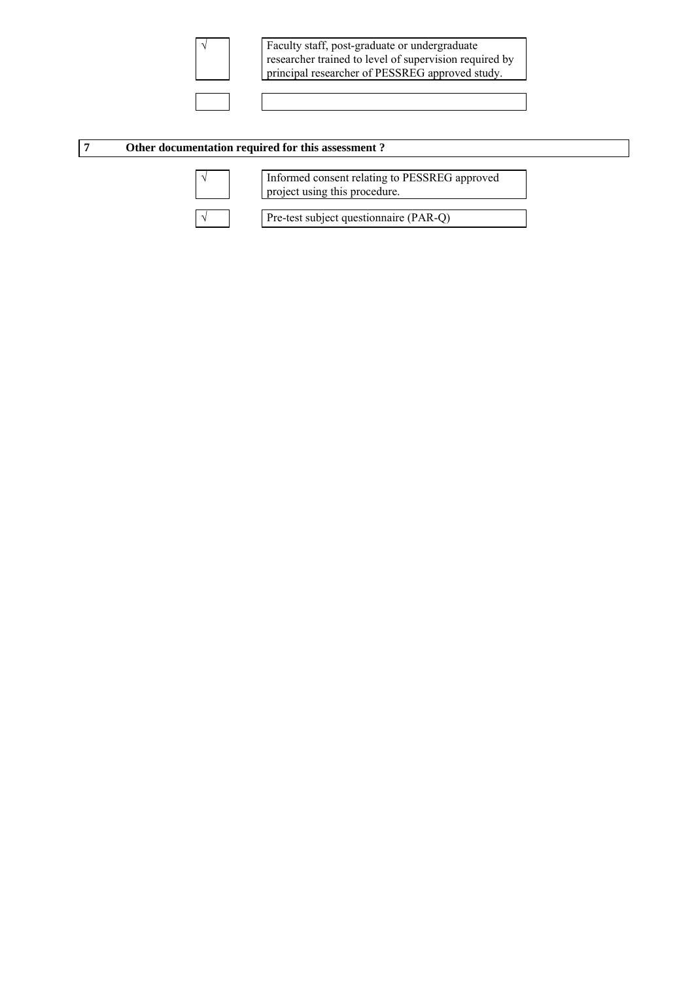

√ Faculty staff, post-graduate or undergraduate researcher trained to level of supervision required by principal researcher of PESSREG approved study.

#### **7 Other documentation required for this assessment ?**



√ Informed consent relating to PESSREG approved project using this procedure.

√ Pre-test subject questionnaire (PAR-Q)